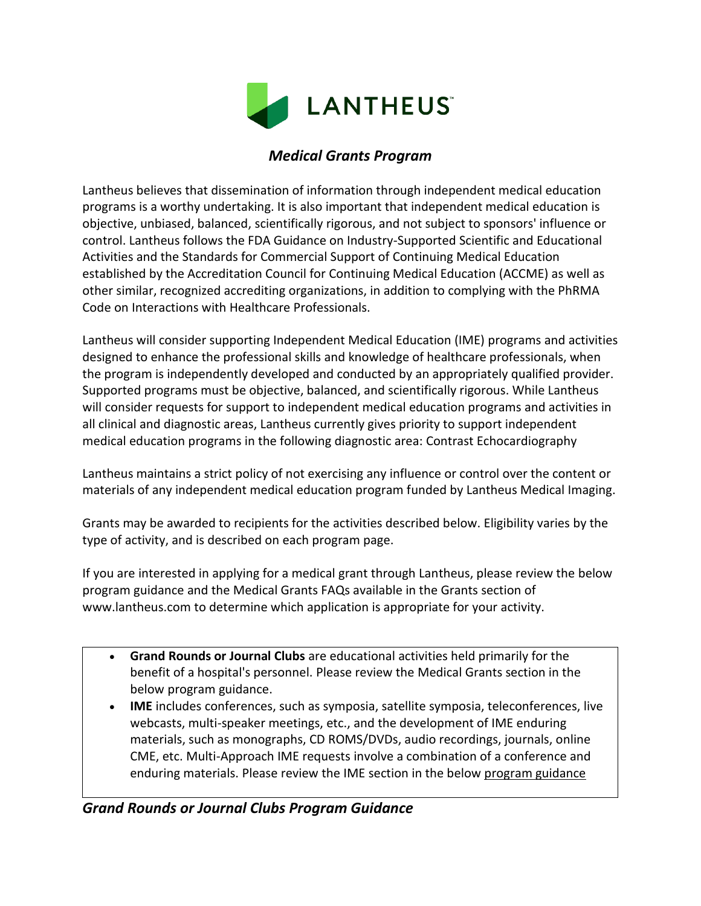

# *Medical Grants Program*

Lantheus believes that dissemination of information through independent medical education programs is a worthy undertaking. It is also important that independent medical education is objective, unbiased, balanced, scientifically rigorous, and not subject to sponsors' influence or control. Lantheus follows the FDA Guidance on Industry-Supported Scientific and Educational Activities and the Standards for Commercial Support of Continuing Medical Education established by the Accreditation Council for Continuing Medical Education (ACCME) as well as other similar, recognized accrediting organizations, in addition to complying with the PhRMA Code on Interactions with Healthcare Professionals.

Lantheus will consider supporting Independent Medical Education (IME) programs and activities designed to enhance the professional skills and knowledge of healthcare professionals, when the program is independently developed and conducted by an appropriately qualified provider. Supported programs must be objective, balanced, and scientifically rigorous. While Lantheus will consider requests for support to independent medical education programs and activities in all clinical and diagnostic areas, Lantheus currently gives priority to support independent medical education programs in the following diagnostic area: Contrast Echocardiography

Lantheus maintains a strict policy of not exercising any influence or control over the content or materials of any independent medical education program funded by Lantheus Medical Imaging.

Grants may be awarded to recipients for the activities described below. Eligibility varies by the type of activity, and is described on each program page.

If you are interested in applying for a medical grant through Lantheus, please review the below program guidance and the Medical Grants FAQs available in the Grants section of www.lantheus.com to determine which application is appropriate for your activity.

- **[Grand Rounds or Journal Clubs](http://www.lantheus.com/AboutUs-Grants-Guidance1.html)** are educational activities held primarily for the benefit of a hospital's personnel. Please review the Medical Grants section in the below program guidance.
- **[IME](http://www.lantheus.com/AboutUs-Grants-Guidance2.html)** includes conferences, such as symposia, satellite symposia, teleconferences, live webcasts, multi-speaker meetings, etc., and the development of IME enduring materials, such as monographs, CD ROMS/DVDs, audio recordings, journals, online CME, etc. Multi-Approach IME requests involve a combination of a conference and enduring materials. Please review the IME section in the below program guidance

# *Grand Rounds or Journal Clubs Program Guidance*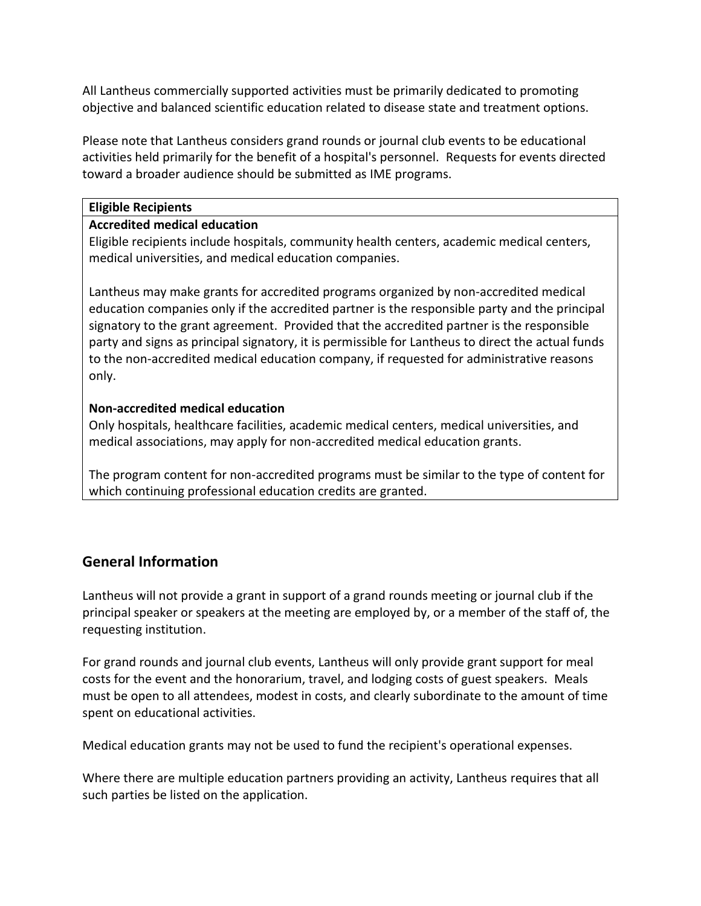All Lantheus commercially supported activities must be primarily dedicated to promoting objective and balanced scientific education related to disease state and treatment options.

Please note that Lantheus considers grand rounds or journal club events to be educational activities held primarily for the benefit of a hospital's personnel. Requests for events directed toward a broader audience should be submitted as IME programs.

#### **Eligible Recipients**

### **Accredited medical education**

Eligible recipients include hospitals, community health centers, academic medical centers, medical universities, and medical education companies.

Lantheus may make grants for accredited programs organized by non-accredited medical education companies only if the accredited partner is the responsible party and the principal signatory to the grant agreement. Provided that the accredited partner is the responsible party and signs as principal signatory, it is permissible for Lantheus to direct the actual funds to the non-accredited medical education company, if requested for administrative reasons only.

### **Non-accredited medical education**

Only hospitals, healthcare facilities, academic medical centers, medical universities, and medical associations, may apply for non-accredited medical education grants.

The program content for non-accredited programs must be similar to the type of content for which continuing professional education credits are granted.

# **General Information**

Lantheus will not provide a grant in support of a grand rounds meeting or journal club if the principal speaker or speakers at the meeting are employed by, or a member of the staff of, the requesting institution.

For grand rounds and journal club events, Lantheus will only provide grant support for meal costs for the event and the honorarium, travel, and lodging costs of guest speakers. Meals must be open to all attendees, modest in costs, and clearly subordinate to the amount of time spent on educational activities.

Medical education grants may not be used to fund the recipient's operational expenses.

Where there are multiple education partners providing an activity, Lantheus requires that all such parties be listed on the application.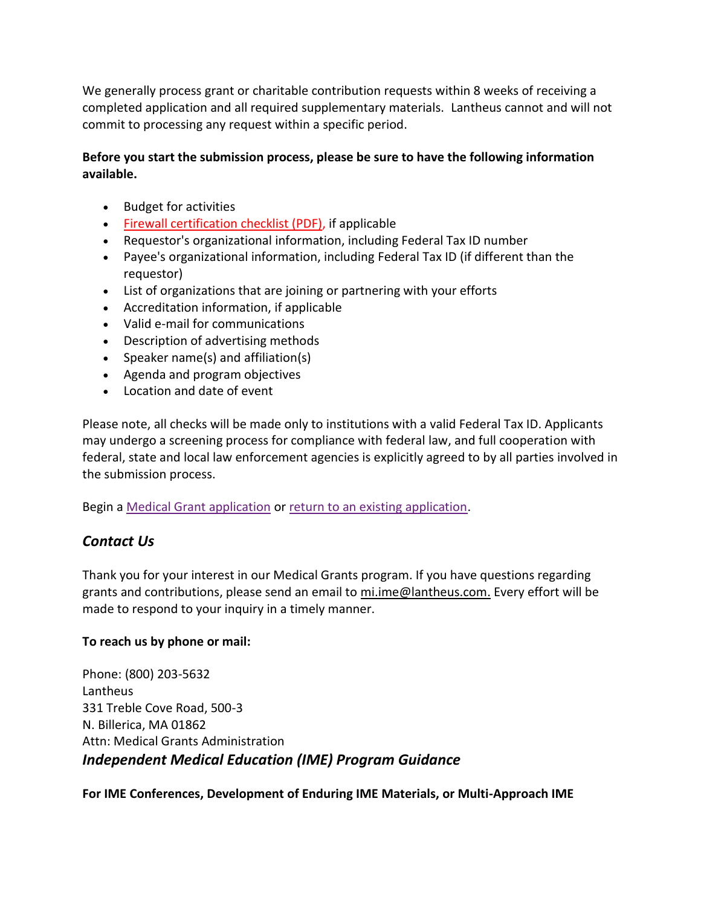We generally process grant or charitable contribution requests within 8 weeks of receiving a completed application and all required supplementary materials. Lantheus cannot and will not commit to processing any request within a specific period.

### **Before you start the submission process, please be sure to have the following information available.**

- Budget for activities
- [Firewall certification checklist \(PDF\),](http://www.lantheus.com/PDF/Firewall%20Certification%20Checklist.pdf) if applicable
- Requestor's organizational information, including Federal Tax ID number
- Payee's organizational information, including Federal Tax ID (if different than the requestor)
- List of organizations that are joining or partnering with your efforts
- Accreditation information, if applicable
- Valid e-mail for communications
- Description of advertising methods
- Speaker name(s) and affiliation(s)
- Agenda and program objectives
- Location and date of event

Please note, all checks will be made only to institutions with a valid Federal Tax ID. Applicants may undergo a screening process for compliance with federal law, and full cooperation with federal, state and local law enforcement agencies is explicitly agreed to by all parties involved in the submission process.

Begin a [Medical Grant application](https://www.grantrequest.com/SID_967?SA=SNA&FID=35015) or [return to an existing application.](https://www.grantrequest.com/SID_967/?SA=AM)

# *Contact Us*

Thank you for your interest in our Medical Grants program. If you have questions regarding grants and contributions, please send an email to [mi.ime@lantheus.com.](mailto:mi.ime@lantheus.com) Every effort will be made to respond to your inquiry in a timely manner.

### **To reach us by phone or mail:**

Phone: (800) 203-5632 Lantheus 331 Treble Cove Road, 500-3 N. Billerica, MA 01862 Attn: Medical Grants Administration *Independent Medical Education (IME) Program Guidance*

**For IME Conferences, Development of Enduring IME Materials, or Multi-Approach IME**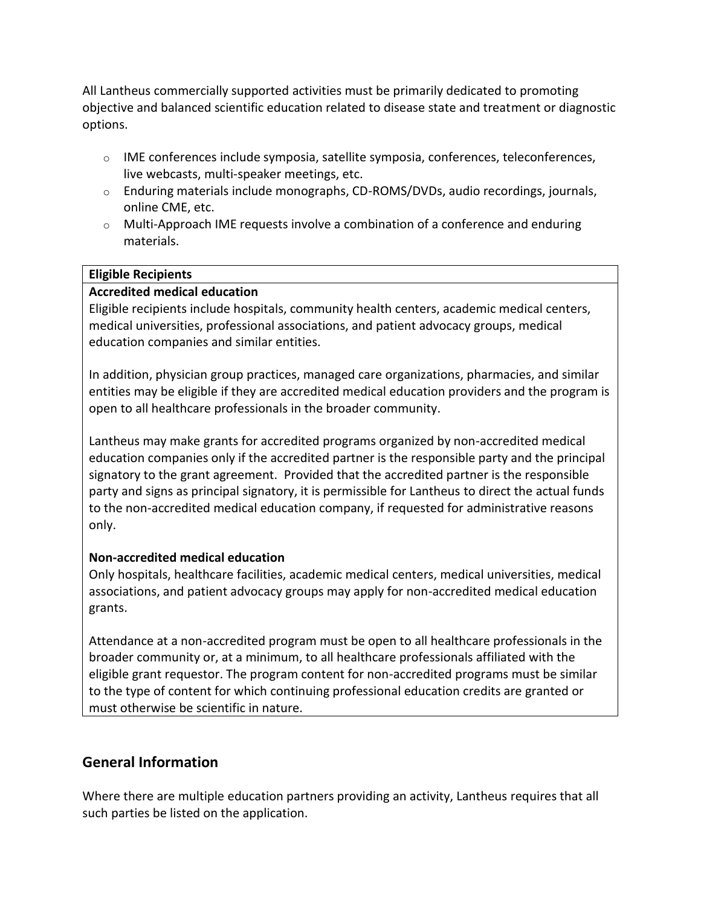All Lantheus commercially supported activities must be primarily dedicated to promoting objective and balanced scientific education related to disease state and treatment or diagnostic options.

- $\circ$  IME conferences include symposia, satellite symposia, conferences, teleconferences, live webcasts, multi-speaker meetings, etc.
- o Enduring materials include monographs, CD-ROMS/DVDs, audio recordings, journals, online CME, etc.
- $\circ$  Multi-Approach IME requests involve a combination of a conference and enduring materials.

#### **Eligible Recipients**

### **Accredited medical education**

Eligible recipients include hospitals, community health centers, academic medical centers, medical universities, professional associations, and patient advocacy groups, medical education companies and similar entities.

In addition, physician group practices, managed care organizations, pharmacies, and similar entities may be eligible if they are accredited medical education providers and the program is open to all healthcare professionals in the broader community.

Lantheus may make grants for accredited programs organized by non-accredited medical education companies only if the accredited partner is the responsible party and the principal signatory to the grant agreement. Provided that the accredited partner is the responsible party and signs as principal signatory, it is permissible for Lantheus to direct the actual funds to the non-accredited medical education company, if requested for administrative reasons only.

### **Non-accredited medical education**

Only hospitals, healthcare facilities, academic medical centers, medical universities, medical associations, and patient advocacy groups may apply for non-accredited medical education grants.

Attendance at a non-accredited program must be open to all healthcare professionals in the broader community or, at a minimum, to all healthcare professionals affiliated with the eligible grant requestor. The program content for non-accredited programs must be similar to the type of content for which continuing professional education credits are granted or must otherwise be scientific in nature.

# **General Information**

Where there are multiple education partners providing an activity, Lantheus requires that all such parties be listed on the application.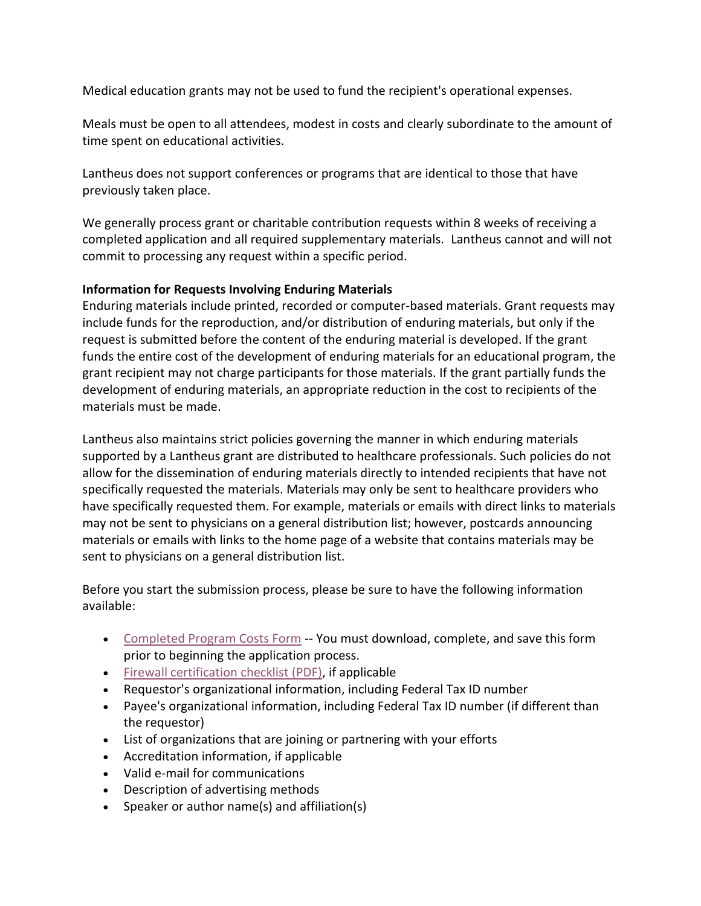Medical education grants may not be used to fund the recipient's operational expenses.

Meals must be open to all attendees, modest in costs and clearly subordinate to the amount of time spent on educational activities.

Lantheus does not support conferences or programs that are identical to those that have previously taken place.

We generally process grant or charitable contribution requests within 8 weeks of receiving a completed application and all required supplementary materials. Lantheus cannot and will not commit to processing any request within a specific period.

#### **Information for Requests Involving Enduring Materials**

Enduring materials include printed, recorded or computer-based materials. Grant requests may include funds for the reproduction, and/or distribution of enduring materials, but only if the request is submitted before the content of the enduring material is developed. If the grant funds the entire cost of the development of enduring materials for an educational program, the grant recipient may not charge participants for those materials. If the grant partially funds the development of enduring materials, an appropriate reduction in the cost to recipients of the materials must be made.

Lantheus also maintains strict policies governing the manner in which enduring materials supported by a Lantheus grant are distributed to healthcare professionals. Such policies do not allow for the dissemination of enduring materials directly to intended recipients that have not specifically requested the materials. Materials may only be sent to healthcare providers who have specifically requested them. For example, materials or emails with direct links to materials may not be sent to physicians on a general distribution list; however, postcards announcing materials or emails with links to the home page of a website that contains materials may be sent to physicians on a general distribution list.

Before you start the submission process, please be sure to have the following information available:

- [Completed Program Costs Form](http://www.lantheus.com/PDF/prog_cost_2009.xls) -- You must download, complete, and save this form prior to beginning the application process.
- [Firewall certification checklist \(PDF\),](http://www.lantheus.com/PDF/Firewall%20Certification%20Checklist.pdf) if applicable
- Requestor's organizational information, including Federal Tax ID number
- Payee's organizational information, including Federal Tax ID number (if different than the requestor)
- List of organizations that are joining or partnering with your efforts
- Accreditation information, if applicable
- Valid e-mail for communications
- Description of advertising methods
- Speaker or author name(s) and affiliation(s)